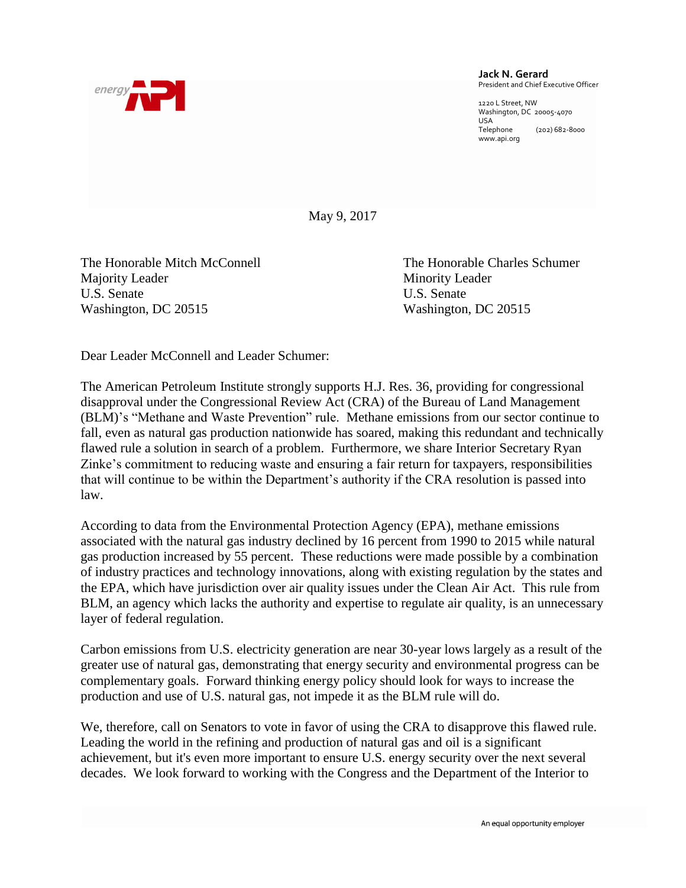

## **Jack N. Gerard** President and Chief Executive Officer

1220 L Street, NW Washington, DC 20005-4070 USA<br>Telephone (202) 682-8000 www.api.org

May 9, 2017

The Honorable Mitch McConnell The Honorable Charles Schumer Majority Leader Minority Leader U.S. Senate U.S. Senate Washington, DC 20515 Washington, DC 20515

Dear Leader McConnell and Leader Schumer:

The American Petroleum Institute strongly supports H.J. Res. 36, providing for congressional disapproval under the Congressional Review Act (CRA) of the Bureau of Land Management (BLM)'s "Methane and Waste Prevention" rule. Methane emissions from our sector continue to fall, even as natural gas production nationwide has soared, making this redundant and technically flawed rule a solution in search of a problem. Furthermore, we share Interior Secretary Ryan Zinke's commitment to reducing waste and ensuring a fair return for taxpayers, responsibilities that will continue to be within the Department's authority if the CRA resolution is passed into law.

According to data from the Environmental Protection Agency (EPA), methane emissions associated with the natural gas industry declined by 16 percent from 1990 to 2015 while natural gas production increased by 55 percent. These reductions were made possible by a combination of industry practices and technology innovations, along with existing regulation by the states and the EPA, which have jurisdiction over air quality issues under the Clean Air Act. This rule from BLM, an agency which lacks the authority and expertise to regulate air quality, is an unnecessary layer of federal regulation.

Carbon emissions from U.S. electricity generation are near 30-year lows largely as a result of the greater use of natural gas, demonstrating that energy security and environmental progress can be complementary goals. Forward thinking energy policy should look for ways to increase the production and use of U.S. natural gas, not impede it as the BLM rule will do.

We, therefore, call on Senators to vote in favor of using the CRA to disapprove this flawed rule. Leading the world in the refining and production of natural gas and oil is a significant achievement, but it's even more important to ensure U.S. energy security over the next several decades. We look forward to working with the Congress and the Department of the Interior to